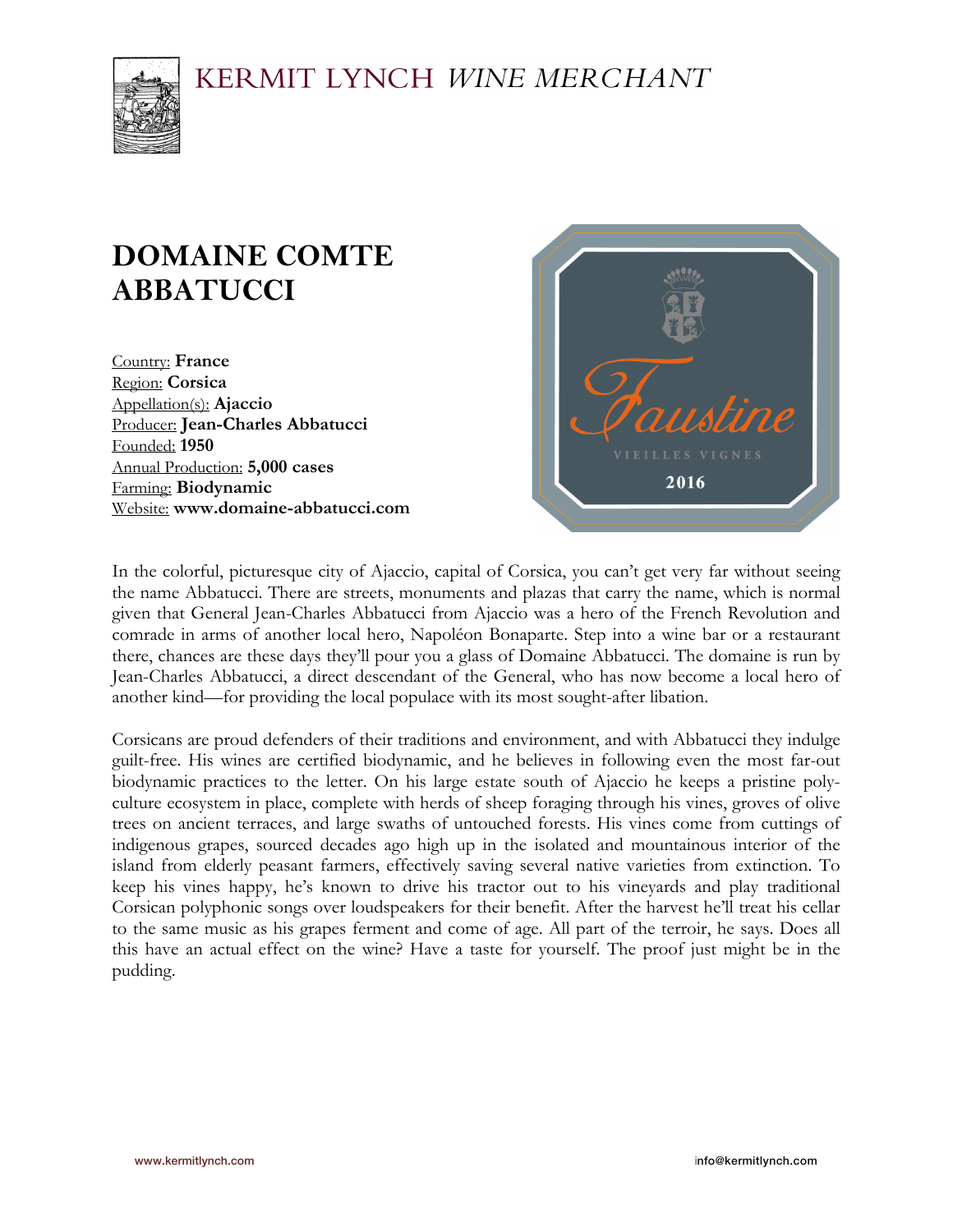

# **DOMAINE COMTE ABBATUCCI**

Country: **France** Region: **Corsica** Appellation(s): **Ajaccio** Producer: **Jean-Charles Abbatucci** Founded: **1950** Annual Production: **5,000 cases** Farming: **Biodynamic** Website: **www.domaine-abbatucci.com**



In the colorful, picturesque city of Ajaccio, capital of Corsica, you can't get very far without seeing the name Abbatucci. There are streets, monuments and plazas that carry the name, which is normal given that General Jean-Charles Abbatucci from Ajaccio was a hero of the French Revolution and comrade in arms of another local hero, Napoléon Bonaparte. Step into a wine bar or a restaurant there, chances are these days they'll pour you a glass of Domaine Abbatucci. The domaine is run by Jean-Charles Abbatucci, a direct descendant of the General, who has now become a local hero of another kind—for providing the local populace with its most sought-after libation.

Corsicans are proud defenders of their traditions and environment, and with Abbatucci they indulge guilt-free. His wines are certified biodynamic, and he believes in following even the most far-out biodynamic practices to the letter. On his large estate south of Ajaccio he keeps a pristine polyculture ecosystem in place, complete with herds of sheep foraging through his vines, groves of olive trees on ancient terraces, and large swaths of untouched forests. His vines come from cuttings of indigenous grapes, sourced decades ago high up in the isolated and mountainous interior of the island from elderly peasant farmers, effectively saving several native varieties from extinction. To keep his vines happy, he's known to drive his tractor out to his vineyards and play traditional Corsican polyphonic songs over loudspeakers for their benefit. After the harvest he'll treat his cellar to the same music as his grapes ferment and come of age. All part of the terroir, he says. Does all this have an actual effect on the wine? Have a taste for yourself. The proof just might be in the pudding.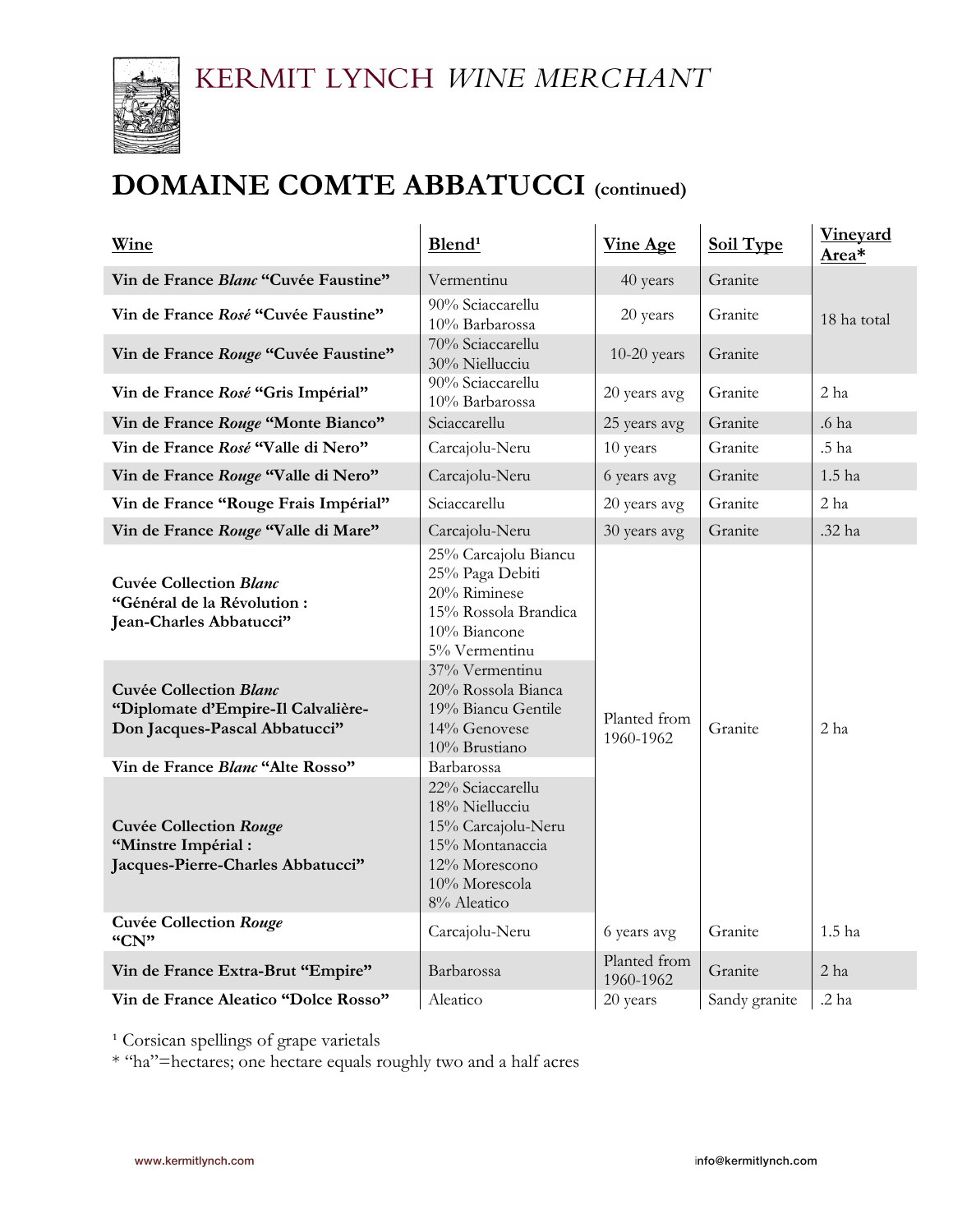

# **DOMAINE COMTE ABBATUCCI (continued)**

| Wine                                                                                                                     | Blend <sup>1</sup>                                                                                                                                       | <b>Vine Age</b>           | <b>Soil Type</b> | <b>Vineyard</b><br>Area* |
|--------------------------------------------------------------------------------------------------------------------------|----------------------------------------------------------------------------------------------------------------------------------------------------------|---------------------------|------------------|--------------------------|
| Vin de France Blanc "Cuvée Faustine"                                                                                     | Vermentinu                                                                                                                                               | 40 years                  | Granite          | 18 ha total              |
| Vin de France Rosé "Cuvée Faustine"                                                                                      | 90% Sciaccarellu<br>10% Barbarossa                                                                                                                       | 20 years                  | Granite          |                          |
| Vin de France Rouge "Cuvée Faustine"                                                                                     | 70% Sciaccarellu<br>30% Niellucciu                                                                                                                       | $10-20$ years             | Granite          |                          |
| Vin de France Rosé "Gris Impérial"                                                                                       | 90% Sciaccarellu<br>10% Barbarossa                                                                                                                       | 20 years avg              | Granite          | 2 ha                     |
| Vin de France Rouge "Monte Bianco"                                                                                       | Sciaccarellu                                                                                                                                             | 25 years avg              | Granite          | .6 ha                    |
| Vin de France Rosé "Valle di Nero"                                                                                       | Carcajolu-Neru                                                                                                                                           | 10 years                  | Granite          | .5 ha                    |
| Vin de France Rouge "Valle di Nero"                                                                                      | Carcajolu-Neru                                                                                                                                           | 6 years avg               | Granite          | 1.5 <sub>ha</sub>        |
| Vin de France "Rouge Frais Impérial"                                                                                     | Sciaccarellu                                                                                                                                             | 20 years avg              | Granite          | 2 ha                     |
| Vin de France Rouge "Valle di Mare"                                                                                      | Carcajolu-Neru                                                                                                                                           | 30 years avg              | Granite          | .32 ha                   |
| <b>Cuvée Collection Blanc</b><br>"Général de la Révolution :<br>Jean-Charles Abbatucci"<br><b>Cuvée Collection Blanc</b> | 25% Carcajolu Biancu<br>25% Paga Debiti<br>20% Riminese<br>15% Rossola Brandica<br>10% Biancone<br>5% Vermentinu<br>37% Vermentinu<br>20% Rossola Bianca | Planted from<br>1960-1962 | Granite          | 2 ha                     |
| "Diplomate d'Empire-Il Calvalière-<br>Don Jacques-Pascal Abbatucci"                                                      | 19% Biancu Gentile<br>14% Genovese<br>10% Brustiano                                                                                                      |                           |                  |                          |
| Vin de France Blanc "Alte Rosso"                                                                                         | Barbarossa<br>22% Sciaccarellu                                                                                                                           |                           |                  |                          |
| <b>Cuvée Collection Rouge</b><br>"Minstre Impérial:<br>Jacques-Pierre-Charles Abbatucci"                                 | 18% Niellucciu<br>15% Carcajolu-Neru<br>15% Montanaccia<br>12% Morescono<br>10% Morescola<br>8% Aleatico                                                 |                           |                  |                          |
| <b>Cuvée Collection Rouge</b><br>"CN"                                                                                    | Carcajolu-Neru                                                                                                                                           | 6 years avg               | Granite          | 1.5 ha                   |
| Vin de France Extra-Brut "Empire"                                                                                        | Barbarossa                                                                                                                                               | Planted from<br>1960-1962 | Granite          | 2 <sub>ha</sub>          |
| Vin de France Aleatico "Dolce Rosso"                                                                                     | Aleatico                                                                                                                                                 | 20 years                  | Sandy granite    | .2 ha                    |

<sup>1</sup> Corsican spellings of grape varietals

\* "ha"=hectares; one hectare equals roughly two and a half acres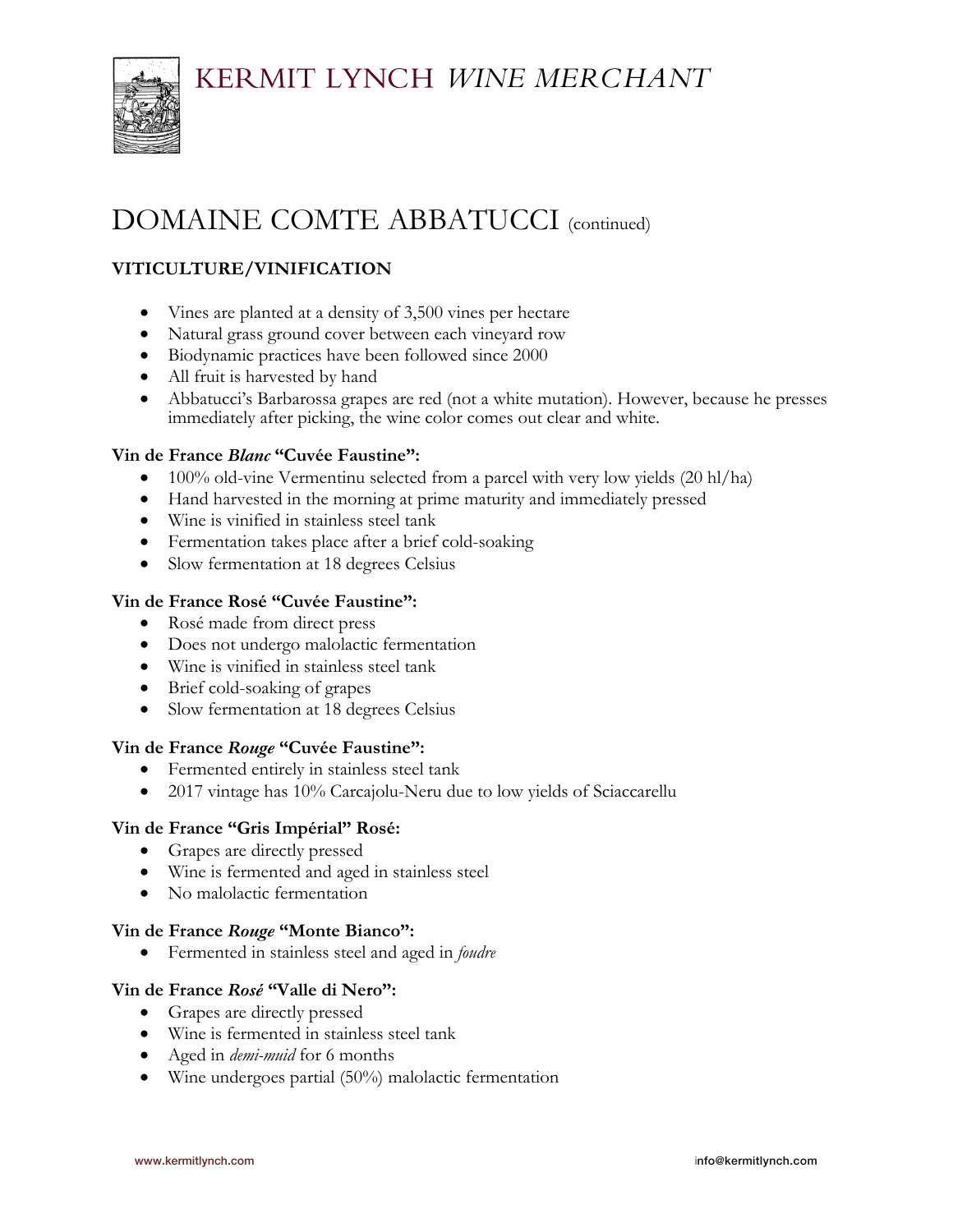

## DOMAINE COMTE ABBATUCCI (continued)

## **VITICULTURE/VINIFICATION**

- Vines are planted at a density of 3,500 vines per hectare
- Natural grass ground cover between each vineyard row
- Biodynamic practices have been followed since 2000
- All fruit is harvested by hand
- Abbatucci's Barbarossa grapes are red (not a white mutation). However, because he presses immediately after picking, the wine color comes out clear and white.

#### **Vin de France** *Blanc* **"Cuvée Faustine":**

- 100% old-vine Vermentinu selected from a parcel with very low yields (20 hl/ha)
- Hand harvested in the morning at prime maturity and immediately pressed
- Wine is vinified in stainless steel tank
- Fermentation takes place after a brief cold-soaking
- Slow fermentation at 18 degrees Celsius

#### **Vin de France Rosé "Cuvée Faustine":**

- Rosé made from direct press
- Does not undergo malolactic fermentation
- Wine is vinified in stainless steel tank
- Brief cold-soaking of grapes
- Slow fermentation at 18 degrees Celsius

#### **Vin de France** *Rouge* **"Cuvée Faustine":**

- Fermented entirely in stainless steel tank
- 2017 vintage has 10% Carcajolu-Neru due to low yields of Sciaccarellu

#### **Vin de France "Gris Impérial" Rosé:**

- Grapes are directly pressed
- Wine is fermented and aged in stainless steel
- No malolactic fermentation

#### **Vin de France** *Rouge* **"Monte Bianco":**

• Fermented in stainless steel and aged in *foudre*

#### **Vin de France** *Rosé* **"Valle di Nero":**

- Grapes are directly pressed
- Wine is fermented in stainless steel tank
- Aged in *demi-muid* for 6 months
- Wine undergoes partial (50%) malolactic fermentation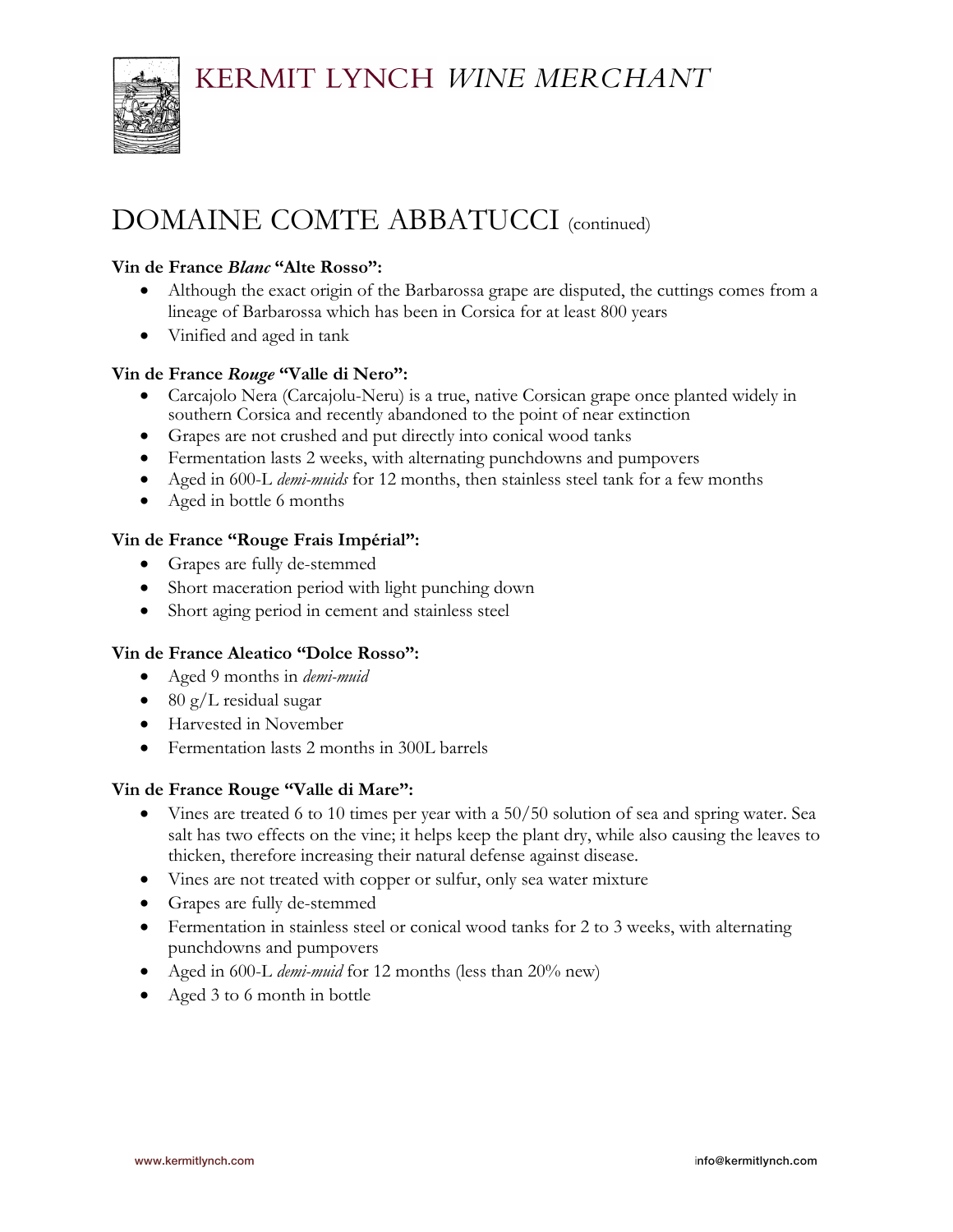

## DOMAINE COMTE ABBATUCCI (continued)

#### **Vin de France** *Blanc* **"Alte Rosso":**

- Although the exact origin of the Barbarossa grape are disputed, the cuttings comes from a lineage of Barbarossa which has been in Corsica for at least 800 years
- Vinified and aged in tank

#### **Vin de France** *Rouge* **"Valle di Nero":**

- Carcajolo Nera (Carcajolu-Neru) is a true, native Corsican grape once planted widely in southern Corsica and recently abandoned to the point of near extinction
- Grapes are not crushed and put directly into conical wood tanks
- Fermentation lasts 2 weeks, with alternating punchdowns and pumpovers
- Aged in 600-L *demi-muids* for 12 months, then stainless steel tank for a few months
- Aged in bottle 6 months

#### **Vin de France "Rouge Frais Impérial":**

- Grapes are fully de-stemmed
- Short maceration period with light punching down
- Short aging period in cement and stainless steel

#### **Vin de France Aleatico "Dolce Rosso":**

- Aged 9 months in *demi-muid*
- 80 g/L residual sugar
- Harvested in November
- Fermentation lasts 2 months in 300L barrels

#### **Vin de France Rouge "Valle di Mare":**

- Vines are treated 6 to 10 times per year with a 50/50 solution of sea and spring water. Sea salt has two effects on the vine; it helps keep the plant dry, while also causing the leaves to thicken, therefore increasing their natural defense against disease.
- Vines are not treated with copper or sulfur, only sea water mixture
- Grapes are fully de-stemmed
- Fermentation in stainless steel or conical wood tanks for 2 to 3 weeks, with alternating punchdowns and pumpovers
- Aged in 600-L *demi-muid* for 12 months (less than 20% new)
- Aged 3 to 6 month in bottle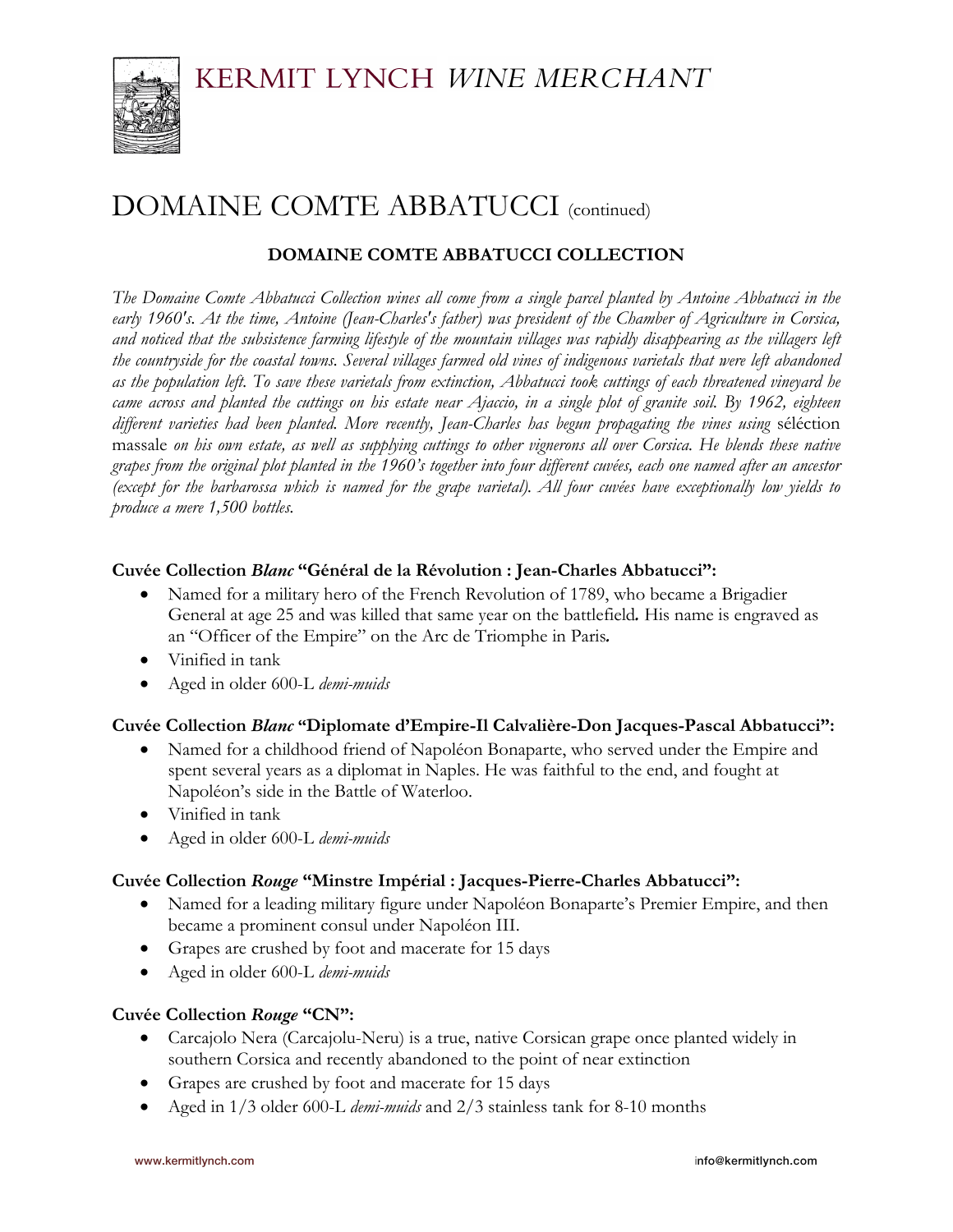KERMIT LYNCH WINE MERCHANT



## DOMAINE COMTE ABBATUCCI (continued)

### **DOMAINE COMTE ABBATUCCI COLLECTION**

*The Domaine Comte Abbatucci Collection wines all come from a single parcel planted by Antoine Abbatucci in the*  early 1960's. At the time, Antoine (Jean-Charles's father) was president of the Chamber of Agriculture in Corsica, *and noticed that the subsistence farming lifestyle of the mountain villages was rapidly disappearing as the villagers left the countryside for the coastal towns. Several villages farmed old vines of indigenous varietals that were left abandoned as the population left. To save these varietals from extinction, Abbatucci took cuttings of each threatened vineyard he came across and planted the cuttings on his estate near Ajaccio, in a single plot of granite soil. By 1962, eighteen different varieties had been planted. More recently, Jean-Charles has begun propagating the vines using* séléction massale *on his own estate, as well as supplying cuttings to other vignerons all over Corsica. He blends these native grapes from the original plot planted in the 1960's together into four different cuvées, each one named after an ancestor (except for the barbarossa which is named for the grape varietal). All four cuvées have exceptionally low yields to produce a mere 1,500 bottles.* 

### **Cuvée Collection** *Blanc* **"Général de la Révolution : Jean-Charles Abbatucci":**

- Named for a military hero of the French Revolution of 1789, who became a Brigadier General at age 25 and was killed that same year on the battlefield*.* His name is engraved as an "Officer of the Empire" on the Arc de Triomphe in Paris*.*
- Vinified in tank
- Aged in older 600-L *demi-muids*

#### **Cuvée Collection** *Blanc* **"Diplomate d'Empire-Il Calvalière-Don Jacques-Pascal Abbatucci":**

- Named for a childhood friend of Napoléon Bonaparte, who served under the Empire and spent several years as a diplomat in Naples. He was faithful to the end, and fought at Napoléon's side in the Battle of Waterloo.
- Vinified in tank
- Aged in older 600-L *demi-muids*

### **Cuvée Collection** *Rouge* **"Minstre Impérial : Jacques-Pierre-Charles Abbatucci":**

- Named for a leading military figure under Napoléon Bonaparte's Premier Empire, and then became a prominent consul under Napoléon III.
- Grapes are crushed by foot and macerate for 15 days
- Aged in older 600-L *demi-muids*

#### **Cuvée Collection** *Rouge* **"CN":**

- Carcajolo Nera (Carcajolu-Neru) is a true, native Corsican grape once planted widely in southern Corsica and recently abandoned to the point of near extinction
- Grapes are crushed by foot and macerate for 15 days
- Aged in 1/3 older 600-L *demi-muids* and 2/3 stainless tank for 8-10 months